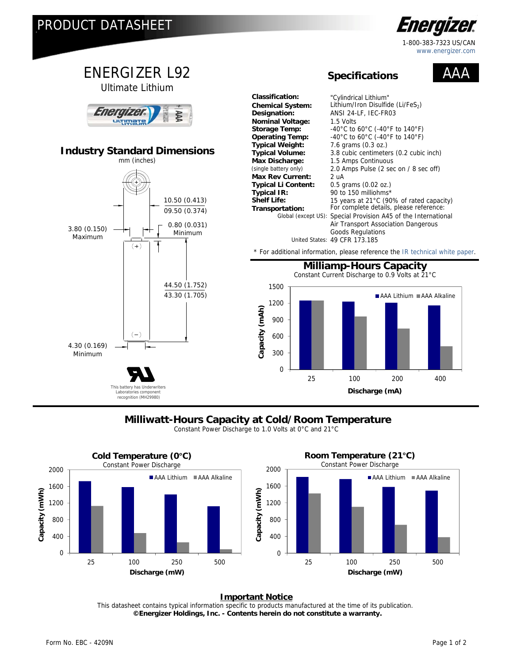

1-800-383-7323 US/CAN www.energizer.com

#### ENERGIZER L92  $\Delta$   $\Delta$  **Specifications** Ultimate Lithium **Classification:** "Cylindrical Lithium" Lithium/Iron Disulfide (Li/FeS<sub>2</sub>) Energizel **Designation:** ANSI 24-LF, IEC-FR03 uutimate **Nominal Voltage:** 1.5 Volts **Storage Temp:**  $-40^{\circ}$ C to 60°C (-40°F to 140°F)<br>**Operating Temp:**  $-40^{\circ}$ C to 60°C (-40°F to 140°F) -40°C to 60°C (-40°F to 140°F) **Typical Weight:** 7.6 grams (0.3 oz.)<br>**Typical Volume:** 3.8 cubic centimete **Industry Standard Dimensions** 3.8 cubic centimeters (0.2 cubic inch) mm (inches) **Max Discharge:** 1.5 Amps Continuous<br>(single battery only) 2.0 Amps Pulse (2 sec 2.0 Amps Pulse (2 sec on / 8 sec off) Max Rev Current: 2 uA<br>Typical Li Content: 0.5 grams (0.02 oz.) **Typical Li Content:**<br>Typical IR: **Typical IR:** 90 to 150 milliohms\*<br>**Shelf Life:** 15 years at 21°C (90 10.50 (0.413) **Shelf Life:** 15 years at 21°C (90% of rated capacity)<br> **Transportation:** For complete details, please reference: For complete details, please reference: 09.50 (0.374) Global (except US): Special Provision A45 of the International 0.80 (0.031) Air Transport Association Dangerous 3.80 (0.150) Minimum Goods Regulations Maximum United States: 49 CFR 173.185  $(+)$ \* For additional information, please reference th[e IR technical white paper.](http://data.energizer.com/PDFs/BatteryIR.pdf)  **Milliamp-Hours Capacity** Constant Current Discharge to 0.9 Volts at 21°C 44.50 (1.752) 1500 43.30 (1.705) AAA Lithium AAA Alkaline 1200 Capacity (mAh) **Capacity (mAh)** 900  $(-)$ 600 4.30 (0.169) Minimum 300  $\overline{0}$ 25 100 200 400 This battery has Underwriters **Discharge (mA)** Laboratories component

## **Milliwatt-Hours Capacity at Cold/Room Temperature**

Constant Power Discharge to 1.0 Volts at 0°C and 21°C



### **Important Notice**

This datasheet contains typical information specific to products manufactured at the time of its publication.  **©Energizer Holdings, Inc. - Contents herein do not constitute a warranty.**

recognition (MH29980)